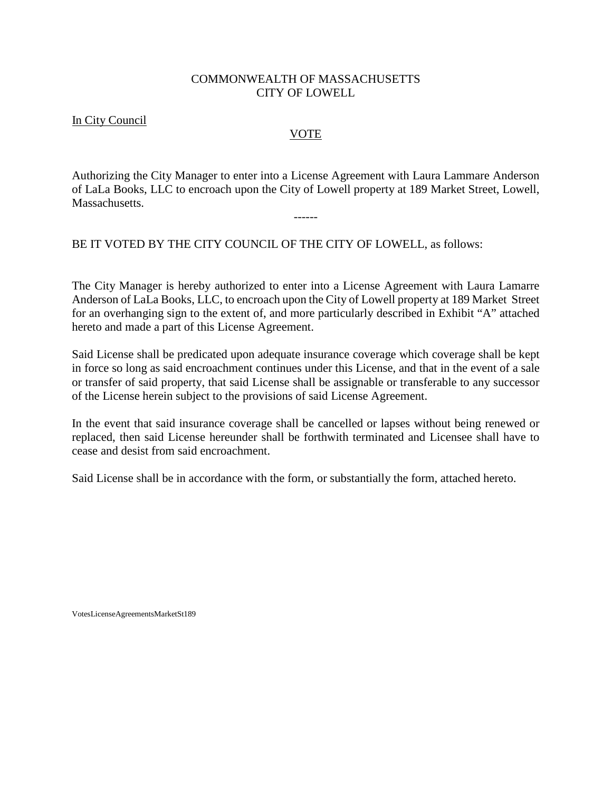## COMMONWEALTH OF MASSACHUSETTS CITY OF LOWELL

## In City Council

## VOTE

Authorizing the City Manager to enter into a License Agreement with Laura Lammare Anderson of LaLa Books, LLC to encroach upon the City of Lowell property at 189 Market Street, Lowell, Massachusetts.

------

BE IT VOTED BY THE CITY COUNCIL OF THE CITY OF LOWELL, as follows:

The City Manager is hereby authorized to enter into a License Agreement with Laura Lamarre Anderson of LaLa Books, LLC, to encroach upon the City of Lowell property at 189 Market Street for an overhanging sign to the extent of, and more particularly described in Exhibit "A" attached hereto and made a part of this License Agreement.

Said License shall be predicated upon adequate insurance coverage which coverage shall be kept in force so long as said encroachment continues under this License, and that in the event of a sale or transfer of said property, that said License shall be assignable or transferable to any successor of the License herein subject to the provisions of said License Agreement.

In the event that said insurance coverage shall be cancelled or lapses without being renewed or replaced, then said License hereunder shall be forthwith terminated and Licensee shall have to cease and desist from said encroachment.

Said License shall be in accordance with the form, or substantially the form, attached hereto.

VotesLicenseAgreementsMarketSt189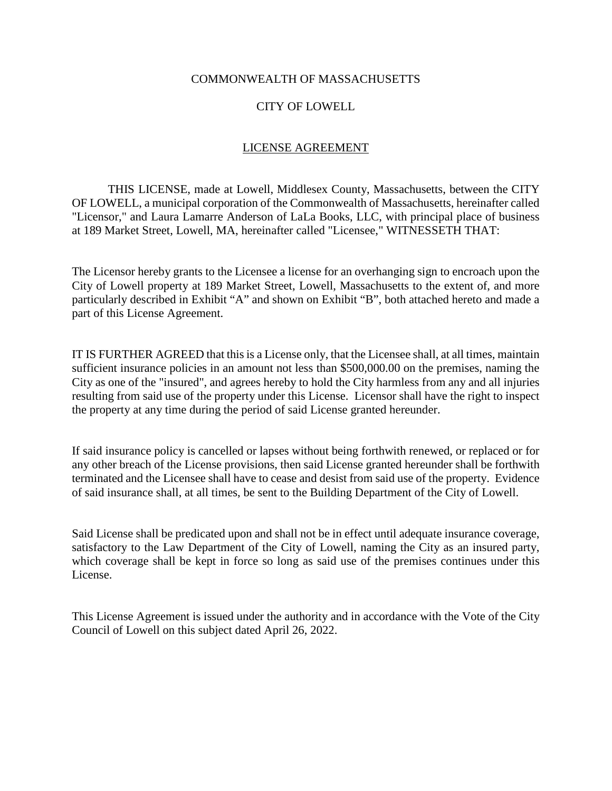### COMMONWEALTH OF MASSACHUSETTS

## CITY OF LOWELL

## LICENSE AGREEMENT

THIS LICENSE, made at Lowell, Middlesex County, Massachusetts, between the CITY OF LOWELL, a municipal corporation of the Commonwealth of Massachusetts, hereinafter called "Licensor," and Laura Lamarre Anderson of LaLa Books, LLC, with principal place of business at 189 Market Street, Lowell, MA, hereinafter called "Licensee," WITNESSETH THAT:

The Licensor hereby grants to the Licensee a license for an overhanging sign to encroach upon the City of Lowell property at 189 Market Street, Lowell, Massachusetts to the extent of, and more particularly described in Exhibit "A" and shown on Exhibit "B", both attached hereto and made a part of this License Agreement.

IT IS FURTHER AGREED that this is a License only, that the Licensee shall, at all times, maintain sufficient insurance policies in an amount not less than \$500,000.00 on the premises, naming the City as one of the "insured", and agrees hereby to hold the City harmless from any and all injuries resulting from said use of the property under this License. Licensor shall have the right to inspect the property at any time during the period of said License granted hereunder.

If said insurance policy is cancelled or lapses without being forthwith renewed, or replaced or for any other breach of the License provisions, then said License granted hereunder shall be forthwith terminated and the Licensee shall have to cease and desist from said use of the property. Evidence of said insurance shall, at all times, be sent to the Building Department of the City of Lowell.

Said License shall be predicated upon and shall not be in effect until adequate insurance coverage, satisfactory to the Law Department of the City of Lowell, naming the City as an insured party, which coverage shall be kept in force so long as said use of the premises continues under this License.

This License Agreement is issued under the authority and in accordance with the Vote of the City Council of Lowell on this subject dated April 26, 2022.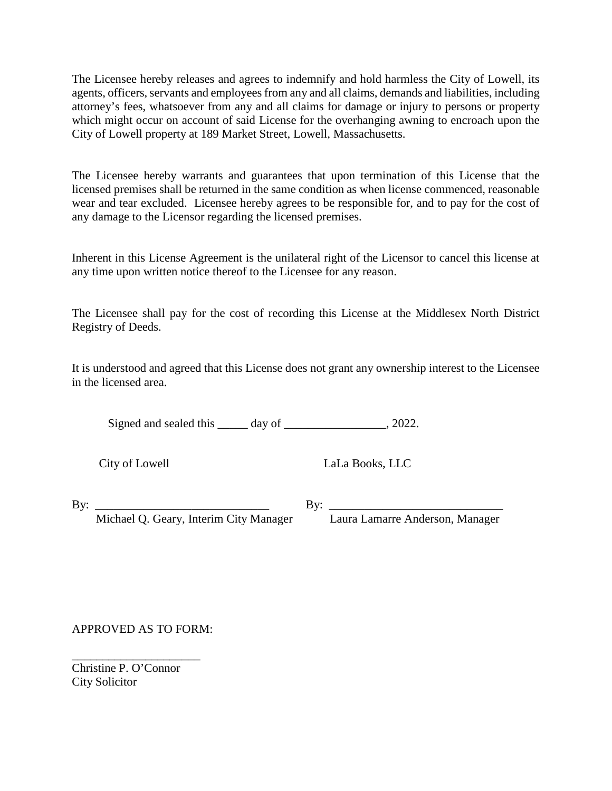The Licensee hereby releases and agrees to indemnify and hold harmless the City of Lowell, its agents, officers, servants and employees from any and all claims, demands and liabilities, including attorney's fees, whatsoever from any and all claims for damage or injury to persons or property which might occur on account of said License for the overhanging awning to encroach upon the City of Lowell property at 189 Market Street, Lowell, Massachusetts.

The Licensee hereby warrants and guarantees that upon termination of this License that the licensed premises shall be returned in the same condition as when license commenced, reasonable wear and tear excluded. Licensee hereby agrees to be responsible for, and to pay for the cost of any damage to the Licensor regarding the licensed premises.

Inherent in this License Agreement is the unilateral right of the Licensor to cancel this license at any time upon written notice thereof to the Licensee for any reason.

The Licensee shall pay for the cost of recording this License at the Middlesex North District Registry of Deeds.

It is understood and agreed that this License does not grant any ownership interest to the Licensee in the licensed area.

Signed and sealed this \_\_\_\_\_ day of \_\_\_\_\_\_\_\_\_\_\_\_\_\_\_\_, 2022.

City of Lowell LaLa Books, LLC

By: \_\_\_\_\_\_\_\_\_\_\_\_\_\_\_\_\_\_\_\_\_\_\_\_\_\_\_\_\_ By: \_\_\_\_\_\_\_\_\_\_\_\_\_\_\_\_\_\_\_\_\_\_\_\_\_\_\_\_\_

Michael Q. Geary, Interim City Manager Laura Lamarre Anderson, Manager

APPROVED AS TO FORM:

Christine P. O'Connor City Solicitor

\_\_\_\_\_\_\_\_\_\_\_\_\_\_\_\_\_\_\_\_\_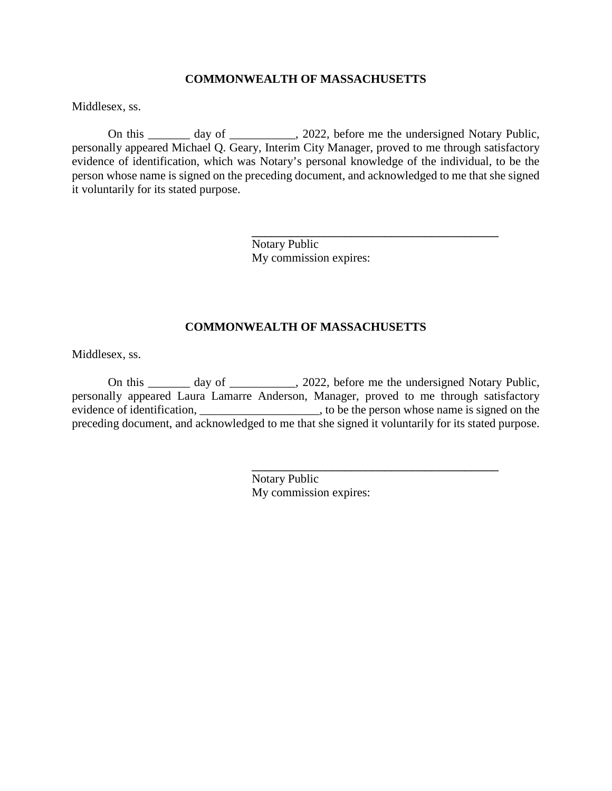#### **COMMONWEALTH OF MASSACHUSETTS**

Middlesex, ss.

On this \_\_\_\_\_\_\_ day of \_\_\_\_\_\_\_\_\_\_\_, 2022, before me the undersigned Notary Public, personally appeared Michael Q. Geary, Interim City Manager, proved to me through satisfactory evidence of identification, which was Notary's personal knowledge of the individual, to be the person whose name is signed on the preceding document, and acknowledged to me that she signed it voluntarily for its stated purpose.

> Notary Public My commission expires:

\_\_\_\_\_\_\_\_\_\_\_\_\_\_\_\_\_\_\_\_\_\_\_\_\_\_\_\_\_\_\_\_\_\_\_\_\_

\_\_\_\_\_\_\_\_\_\_\_\_\_\_\_\_\_\_\_\_\_\_\_\_\_\_\_\_\_\_\_\_\_\_\_\_\_

#### **COMMONWEALTH OF MASSACHUSETTS**

Middlesex, ss.

On this \_\_\_\_\_\_\_ day of \_\_\_\_\_\_\_\_\_\_\_, 2022, before me the undersigned Notary Public, personally appeared Laura Lamarre Anderson, Manager, proved to me through satisfactory evidence of identification, \_\_\_\_\_\_\_\_\_\_\_\_\_\_\_\_\_\_\_\_\_\_, to be the person whose name is signed on the preceding document, and acknowledged to me that she signed it voluntarily for its stated purpose.

> Notary Public My commission expires: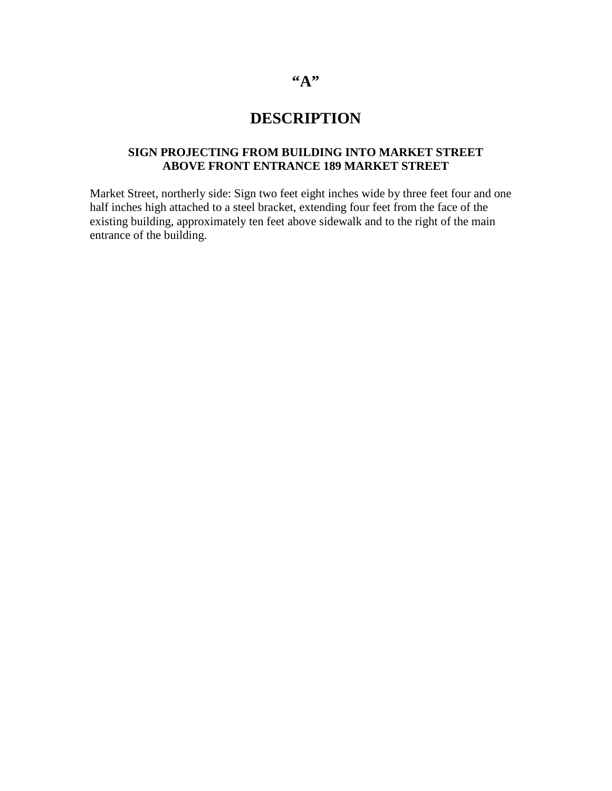# **"A"**

# **DESCRIPTION**

## **SIGN PROJECTING FROM BUILDING INTO MARKET STREET ABOVE FRONT ENTRANCE 189 MARKET STREET**

Market Street, northerly side: Sign two feet eight inches wide by three feet four and one half inches high attached to a steel bracket, extending four feet from the face of the existing building, approximately ten feet above sidewalk and to the right of the main entrance of the building.